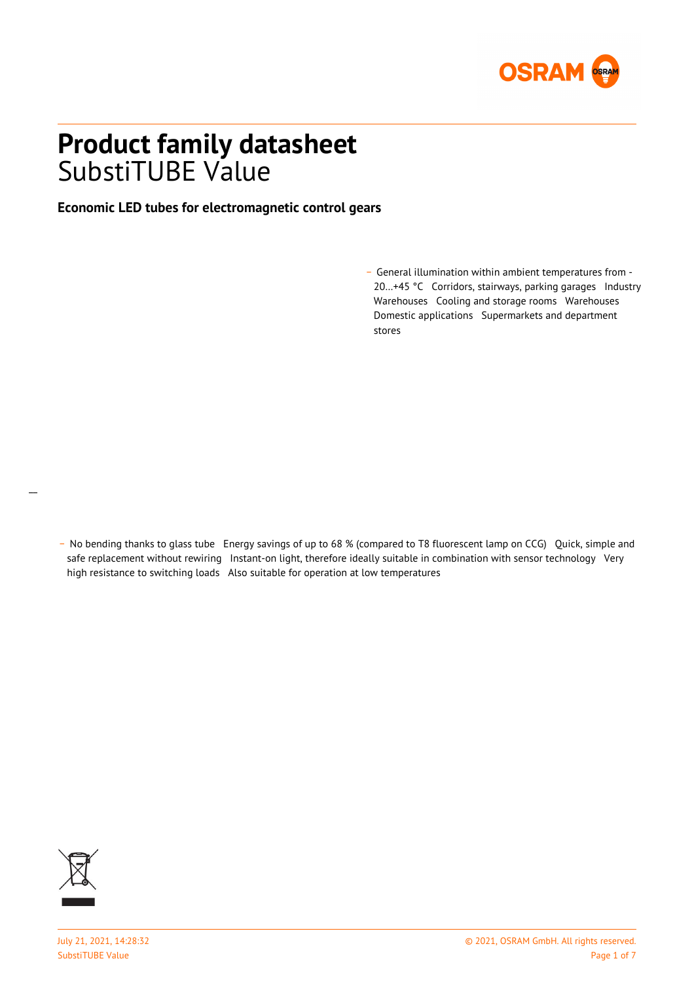

# **Product family datasheet** SubstiTUBE Value

### **Economic LED tubes for electromagnetic control gears**

- General illumination within ambient temperatures from -20…+45 °C Corridors, stairways, parking garages Industry Warehouses Cooling and storage rooms Warehouses Domestic applications Supermarkets and department stores

 $\overline{a}$ 

\_ No bending thanks to glass tube Energy savings of up to 68 % (compared to T8 fluorescent lamp on CCG) Quick, simple and safe replacement without rewiring Instant-on light, therefore ideally suitable in combination with sensor technology Very high resistance to switching loads Also suitable for operation at low temperatures

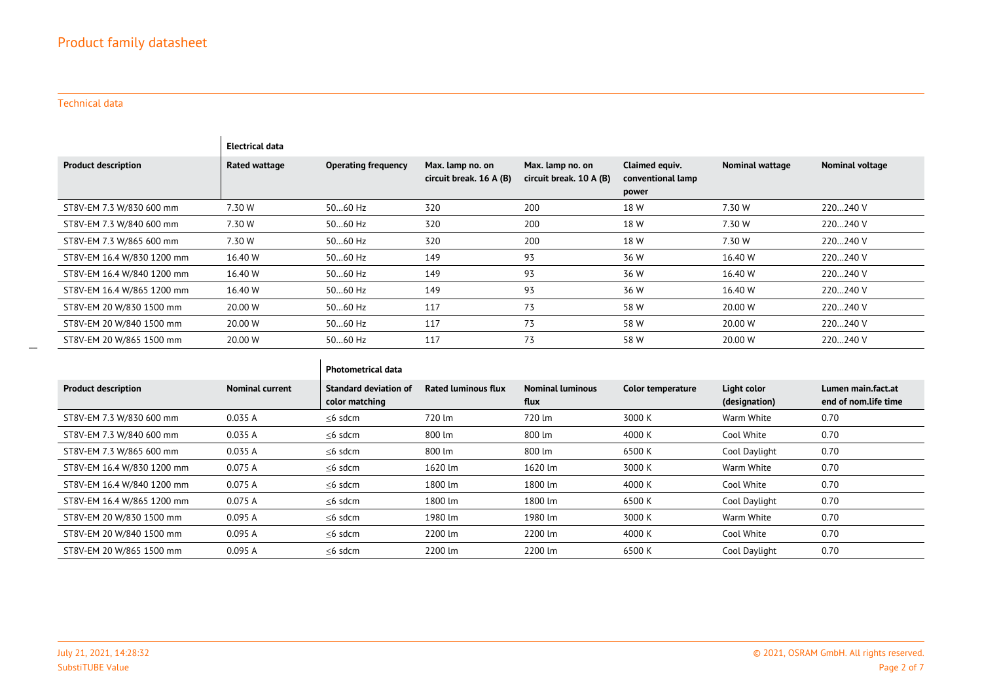#### Technical data

 $\overline{\phantom{0}}$ 

|                            | Electrical data |                            |                                             |                                             |                                              |                        |                 |
|----------------------------|-----------------|----------------------------|---------------------------------------------|---------------------------------------------|----------------------------------------------|------------------------|-----------------|
| <b>Product description</b> | Rated wattage   | <b>Operating frequency</b> | Max. lamp no. on<br>circuit break. 16 A (B) | Max. lamp no. on<br>circuit break. 10 A (B) | Claimed equiv.<br>conventional lamp<br>power | <b>Nominal wattage</b> | Nominal voltage |
| ST8V-EM 7.3 W/830 600 mm   | 7.30 W          | 5060 Hz                    | 320                                         | 200                                         | 18 W                                         | 7.30 W                 | 220240 V        |
| ST8V-EM 7.3 W/840 600 mm   | 7.30 W          | 5060 Hz                    | 320                                         | 200                                         | 18 W                                         | 7.30 W                 | 220240 V        |
| ST8V-EM 7.3 W/865 600 mm   | 7.30 W          | 5060 Hz                    | 320                                         | 200                                         | 18 W                                         | 7.30 W                 | 220240 V        |
| ST8V-EM 16.4 W/830 1200 mm | 16.40 W         | 5060 Hz                    | 149                                         | 93                                          | 36 W                                         | 16.40 W                | 220240 V        |
| ST8V-EM 16.4 W/840 1200 mm | 16.40 W         | 5060 Hz                    | 149                                         | 93                                          | 36 W                                         | 16.40 W                | 220240 V        |
| ST8V-EM 16.4 W/865 1200 mm | 16.40 W         | 5060 Hz                    | 149                                         | 93                                          | 36 W                                         | 16.40 W                | 220240 V        |
| ST8V-EM 20 W/830 1500 mm   | 20.00 W         | 5060 Hz                    | 117                                         | 73                                          | 58 W                                         | 20.00 W                | 220240 V        |
| ST8V-EM 20 W/840 1500 mm   | 20.00 W         | 5060 Hz                    | 117                                         | 73                                          | 58 W                                         | 20.00 W                | 220240 V        |
| ST8V-EM 20 W/865 1500 mm   | 20.00 W         | 5060 Hz                    | 117                                         | 73                                          | 58 W                                         | 20.00 W                | 220240 V        |

|                            |                        | <b>Photometrical data</b>                      |                            |                                 |                   |                              |                                            |
|----------------------------|------------------------|------------------------------------------------|----------------------------|---------------------------------|-------------------|------------------------------|--------------------------------------------|
| <b>Product description</b> | <b>Nominal current</b> | <b>Standard deviation of</b><br>color matching | <b>Rated luminous flux</b> | <b>Nominal luminous</b><br>flux | Color temperature | Light color<br>(designation) | Lumen main.fact.at<br>end of nom.life time |
| ST8V-EM 7.3 W/830 600 mm   | 0.035 A                | $\leq$ 6 sdcm                                  | 720 lm                     | 720 lm                          | 3000 K            | Warm White                   | 0.70                                       |
| ST8V-EM 7.3 W/840 600 mm   | 0.035 A                | $\leq$ 6 sdcm                                  | 800 lm                     | 800 lm                          | 4000 K            | Cool White                   | 0.70                                       |
| ST8V-EM 7.3 W/865 600 mm   | 0.035 A                | $\leq$ 6 sdcm                                  | 800 lm                     | 800 lm                          | 6500 K            | Cool Daylight                | 0.70                                       |
| ST8V-EM 16.4 W/830 1200 mm | 0.075 A                | $\leq$ 6 sdcm                                  | 1620 lm                    | 1620 lm                         | 3000 K            | Warm White                   | 0.70                                       |
| ST8V-EM 16.4 W/840 1200 mm | 0.075 A                | $\leq$ 6 sdcm                                  | 1800 lm                    | 1800 lm                         | 4000 K            | Cool White                   | 0.70                                       |
| ST8V-EM 16.4 W/865 1200 mm | 0.075 A                | $\leq$ 6 sdcm                                  | 1800 lm                    | 1800 lm                         | 6500 K            | Cool Daylight                | 0.70                                       |
| ST8V-EM 20 W/830 1500 mm   | 0.095 A                | $\leq$ 6 sdcm                                  | 1980 lm                    | 1980 lm                         | 3000 K            | Warm White                   | 0.70                                       |
| ST8V-EM 20 W/840 1500 mm   | 0.095A                 | $\leq$ 6 sdcm                                  | 2200 lm                    | 2200 lm                         | 4000 K            | Cool White                   | 0.70                                       |
| ST8V-EM 20 W/865 1500 mm   | 0.095 A                | $\leq$ 6 sdcm                                  | 2200 lm                    | 2200 lm                         | 6500 K            | Cool Daylight                | 0.70                                       |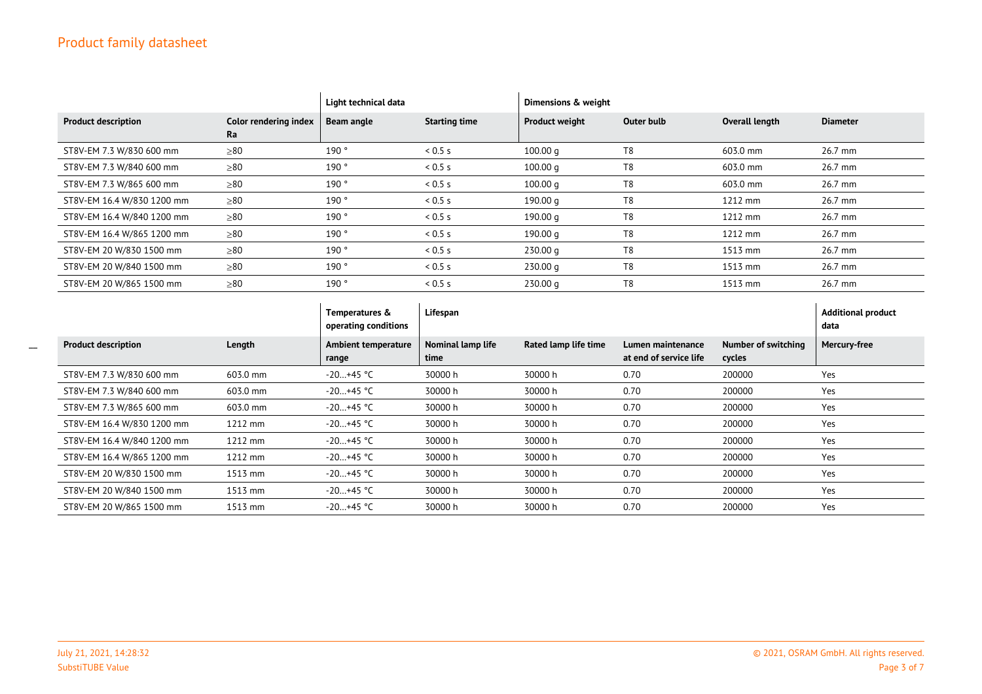## Product family datasheet

|                            |                             | Light technical data |                      | Dimensions & weight   |            |                |                 |
|----------------------------|-----------------------------|----------------------|----------------------|-----------------------|------------|----------------|-----------------|
| <b>Product description</b> | Color rendering index<br>Ra | Beam angle           | <b>Starting time</b> | <b>Product weight</b> | Outer bulb | Overall length | <b>Diameter</b> |
| ST8V-EM 7.3 W/830 600 mm   | $\geq 80$                   | 190°                 | 0.5s                 | 100.00 <sub>q</sub>   | T8         | 603.0 mm       | 26.7 mm         |
| ST8V-EM 7.3 W/840 600 mm   | $\geq 80$                   | 190°                 | 0.5s                 | $100.00 \text{ g}$    | T8         | 603.0 mm       | 26.7 mm         |
| ST8V-EM 7.3 W/865 600 mm   | $\geq 80$                   | 190°                 | 0.5s                 | $100.00 \text{ g}$    | T8         | 603.0 mm       | 26.7 mm         |
| ST8V-EM 16.4 W/830 1200 mm | $\geq 80$                   | 190°                 | 0.5s                 | 190.00 g              | T8         | $1212$ mm      | 26.7 mm         |
| ST8V-EM 16.4 W/840 1200 mm | $\geq 80$                   | 190°                 | 0.5s                 | 190.00 g              | T8         | $1212$ mm      | 26.7 mm         |
| ST8V-EM 16.4 W/865 1200 mm | $\geq 80$                   | 190°                 | 0.5s                 | 190.00 g              | T8         | $1212$ mm      | 26.7 mm         |
| ST8V-EM 20 W/830 1500 mm   | $\geq 80$                   | 190°                 | 0.5s                 | 230.00 q              | T8         | $1513$ mm      | 26.7 mm         |
| ST8V-EM 20 W/840 1500 mm   | $\geq 80$                   | 190°                 | 0.5s                 | 230.00 <sub>q</sub>   | T8         | $1513$ mm      | 26.7 mm         |
| ST8V-EM 20 W/865 1500 mm   | $\geq 80$                   | 190°                 | 0.5s                 | 230.00 <sub>q</sub>   | T8         | $1513$ mm      | 26.7 mm         |

|                            |          | Temperatures &<br>operating conditions | Lifespan                  |                      |                                             |                               | <b>Additional product</b><br>data |
|----------------------------|----------|----------------------------------------|---------------------------|----------------------|---------------------------------------------|-------------------------------|-----------------------------------|
| <b>Product description</b> | Length   | Ambient temperature<br>range           | Nominal lamp life<br>time | Rated lamp life time | Lumen maintenance<br>at end of service life | Number of switching<br>cycles | <b>Mercury-free</b>               |
| ST8V-EM 7.3 W/830 600 mm   | 603.0 mm | $-20+45$ °C                            | 30000 h                   | 30000 h              | 0.70                                        | 200000                        | Yes                               |
| ST8V-EM 7.3 W/840 600 mm   | 603.0 mm | $-20+45$ °C                            | 30000 h                   | 30000 h              | 0.70                                        | 200000                        | Yes                               |
| ST8V-EM 7.3 W/865 600 mm   | 603.0 mm | $-20+45$ °C                            | 30000 h                   | 30000 h              | 0.70                                        | 200000                        | Yes                               |
| ST8V-EM 16.4 W/830 1200 mm | 1212 mm  | $-20+45$ °C                            | 30000 h                   | 30000 h              | 0.70                                        | 200000                        | Yes                               |
| ST8V-EM 16.4 W/840 1200 mm | 1212 mm  | $-20+45$ °C                            | 30000 h                   | 30000 h              | 0.70                                        | 200000                        | Yes                               |
| ST8V-EM 16.4 W/865 1200 mm | 1212 mm  | $-20+45$ °C                            | 30000 h                   | 30000 h              | 0.70                                        | 200000                        | Yes                               |
| ST8V-EM 20 W/830 1500 mm   | 1513 mm  | $-20+45$ °C                            | 30000 h                   | 30000 h              | 0.70                                        | 200000                        | Yes                               |
| ST8V-EM 20 W/840 1500 mm   | 1513 mm  | $-20+45$ °C                            | 30000 h                   | 30000 h              | 0.70                                        | 200000                        | Yes                               |
| ST8V-EM 20 W/865 1500 mm   | 1513 mm  | $-20+45$ °C                            | 30000 h                   | 30000 h              | 0.70                                        | 200000                        | Yes                               |

 $\overline{\phantom{a}}$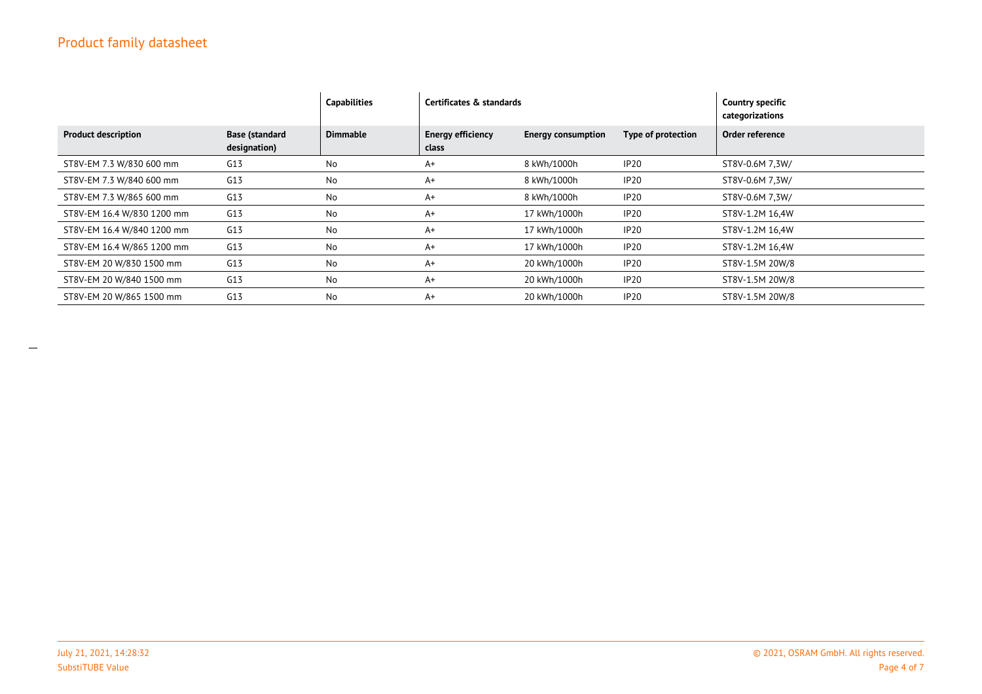## Product family datasheet

|                            |                                       | <b>Capabilities</b> | Certificates & standards          |                           | <b>Country specific</b><br>categorizations |                 |
|----------------------------|---------------------------------------|---------------------|-----------------------------------|---------------------------|--------------------------------------------|-----------------|
| <b>Product description</b> | <b>Base (standard</b><br>designation) | <b>Dimmable</b>     | <b>Energy efficiency</b><br>class | <b>Energy consumption</b> | Type of protection                         | Order reference |
| ST8V-EM 7.3 W/830 600 mm   | G13                                   | No                  | $A+$                              | 8 kWh/1000h               | IP <sub>20</sub>                           | ST8V-0.6M 7.3W/ |
| ST8V-EM 7.3 W/840 600 mm   | G13                                   | No                  | $A+$                              | 8 kWh/1000h               | IP <sub>20</sub>                           | ST8V-0.6M 7.3W/ |
| ST8V-EM 7.3 W/865 600 mm   | G13                                   | No                  | $A+$                              | 8 kWh/1000h               | IP <sub>20</sub>                           | ST8V-0.6M 7.3W/ |
| ST8V-EM 16.4 W/830 1200 mm | G13                                   | No                  | $A+$                              | 17 kWh/1000h              | IP <sub>20</sub>                           | ST8V-1.2M 16,4W |
| ST8V-EM 16.4 W/840 1200 mm | G13                                   | No                  | $A+$                              | 17 kWh/1000h              | IP <sub>20</sub>                           | ST8V-1.2M 16,4W |
| ST8V-EM 16.4 W/865 1200 mm | G13                                   | No                  | $A+$                              | 17 kWh/1000h              | IP <sub>20</sub>                           | ST8V-1.2M 16,4W |
| ST8V-EM 20 W/830 1500 mm   | G13                                   | No                  | $A+$                              | 20 kWh/1000h              | IP <sub>20</sub>                           | ST8V-1.5M 20W/8 |
| ST8V-EM 20 W/840 1500 mm   | G13                                   | No                  | $A+$                              | 20 kWh/1000h              | IP <sub>20</sub>                           | ST8V-1.5M 20W/8 |
| ST8V-EM 20 W/865 1500 mm   | G13                                   | No                  | $A+$                              | 20 kWh/1000h              | IP <sub>20</sub>                           | ST8V-1.5M 20W/8 |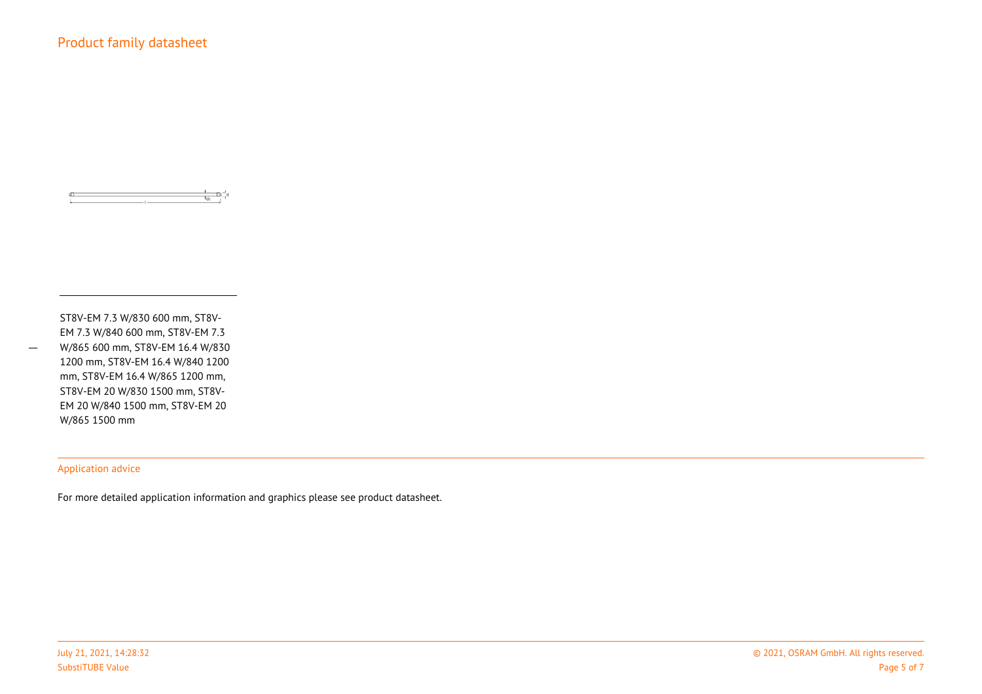$\overline{a}$  and  $\overline{a}$  and  $\overline{a}$  and  $\overline{a}$ 

ST8V-EM 7.3 W/830 600 mm, ST8V-EM 7.3 W/840 600 mm, ST8V-EM 7.3 W/865 600 mm, ST8V-EM 16.4 W/830 1200 mm, ST8V-EM 16.4 W/840 1200 mm, ST8V-EM 16.4 W/865 1200 mm,ST8V-EM 20 W/830 1500 mm, ST8V-EM 20 W/840 1500 mm, ST8V-EM 20W/865 1500 mm

#### Application advice

For more detailed application information and graphics please see product datasheet.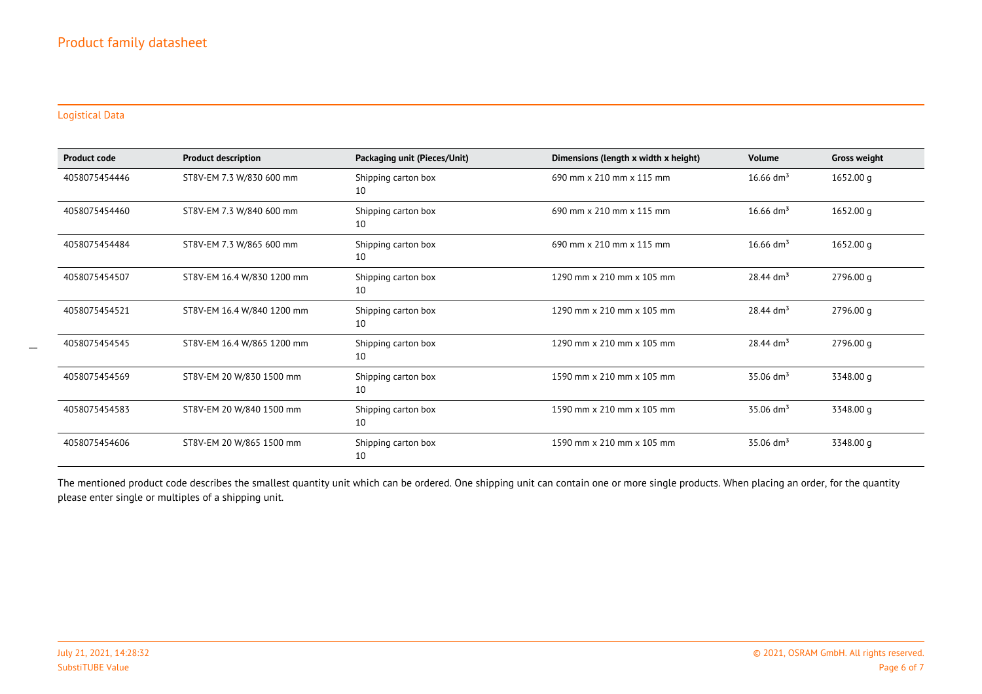#### Logistical Data

| <b>Product code</b> | <b>Product description</b> | Packaging unit (Pieces/Unit) | Dimensions (length x width x height) | <b>Volume</b>           | <b>Gross weight</b> |
|---------------------|----------------------------|------------------------------|--------------------------------------|-------------------------|---------------------|
| 4058075454446       | ST8V-EM 7.3 W/830 600 mm   | Shipping carton box<br>10    | 690 mm x 210 mm x 115 mm             | $16.66$ dm <sup>3</sup> | 1652.00 q           |
| 4058075454460       | ST8V-EM 7.3 W/840 600 mm   | Shipping carton box<br>10    | 690 mm x 210 mm x 115 mm             | $16.66$ dm <sup>3</sup> | 1652.00 q           |
| 4058075454484       | ST8V-EM 7.3 W/865 600 mm   | Shipping carton box<br>10    | 690 mm x 210 mm x 115 mm             | $16.66$ dm <sup>3</sup> | 1652.00 q           |
| 4058075454507       | ST8V-EM 16.4 W/830 1200 mm | Shipping carton box<br>10    | 1290 mm x 210 mm x 105 mm            | $28.44$ dm <sup>3</sup> | 2796.00 q           |
| 4058075454521       | ST8V-EM 16.4 W/840 1200 mm | Shipping carton box<br>10    | 1290 mm x 210 mm x 105 mm            | $28.44$ dm <sup>3</sup> | 2796.00 q           |
| 4058075454545       | ST8V-EM 16.4 W/865 1200 mm | Shipping carton box<br>10    | 1290 mm x 210 mm x 105 mm            | $28.44$ dm <sup>3</sup> | 2796.00 g           |
| 4058075454569       | ST8V-EM 20 W/830 1500 mm   | Shipping carton box<br>10    | 1590 mm x 210 mm x 105 mm            | $35.06$ dm <sup>3</sup> | 3348.00 g           |
| 4058075454583       | ST8V-EM 20 W/840 1500 mm   | Shipping carton box<br>10    | 1590 mm x 210 mm x 105 mm            | $35.06$ dm <sup>3</sup> | 3348.00 q           |
| 4058075454606       | ST8V-EM 20 W/865 1500 mm   | Shipping carton box<br>10    | 1590 mm x 210 mm x 105 mm            | $35.06$ dm <sup>3</sup> | 3348.00 g           |

The mentioned product code describes the smallest quantity unit which can be ordered. One shipping unit can contain one or more single products. When placing an order, for the quantity please enter single or multiples of a shipping unit.